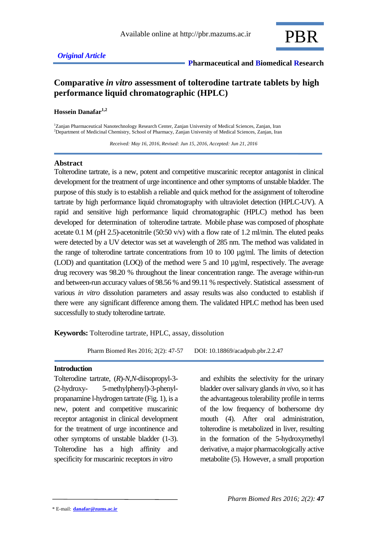

# **Comparative** *in vitro* **assessment of tolterodine tartrate tablets by high performance liquid chromatographic (HPLC)**

#### **Hossein Danafar1,2**

<sup>1</sup>Zanjan Pharmaceutical Nanotechnology Research Center, Zanjan University of Medical Sciences, Zanjan, Iran <sup>2</sup>Department of Medicinal Chemistry, School of Pharmacy, Zanjan University of Medical Sciences, Zanjan, Iran

 *Received: May 16, 2016, Revised: Jun 15, 2016, Accepted: Jun 21, 2016*

## **Abstract**

Tolterodine tartrate, is a new, potent and competitive muscarinic receptor antagonist in clinical development for the treatment of urge incontinence and other symptoms of unstable bladder. The purpose of this study is to establish a reliable and quick method for the assignment of tolterodine tartrate by high performance liquid chromatography with ultraviolet detection (HPLC-UV). A rapid and sensitive high performance liquid chromatographic (HPLC) method has been developed for determination of tolterodine tartrate. Mobile phase was composed of phosphate acetate 0.1 M (pH 2.5)-acetonitrile (50:50 v/v) with a flow rate of 1.2 ml/min. The eluted peaks were detected by a UV detector was set at wavelength of 285 nm. The method was validated in the range of tolterodine tartrate concentrations from 10 to 100 µg/ml. The limits of detection (LOD) and quantitation (LOQ) of the method were 5 and 10 µg/ml, respectively. The average drug recovery was 98.20 % throughout the linear concentration range. The average within-run and between-run accuracy values of 98.56 % and 99.11 % respectively. Statistical assessment of various *in vitro* dissolution parameters and assay results was also conducted to establish if there were any significant difference among them. The validated HPLC method has been used successfully to study tolterodine tartrate.

**Keywords:** Tolterodine tartrate, HPLC, assay, dissolution

Pharm Biomed Res 2016; 2(2): 47-57 DOI: 10.18869/acadpub.pbr.2.2.47

#### **Introduction**

Tolterodine tartrate, (*R*)-*N*,*N*-diisopropyl-3- (2-hydroxy- 5-methylphenyl)-3-phenylpropanamine l-hydrogen tartrate (Fig. 1), is a new, potent and competitive muscarinic receptor antagonist in clinical development for the treatment of urge incontinence and other symptoms of unstable bladder (1-3). Tolterodine has a high affinity and specificity for muscarinic receptors *in vitro*

and exhibits the selectivity for the urinary bladder over salivary glands *in vivo*, so it has the advantageous tolerability profile in terms of the low frequency of bothersome dry mouth (4). After oral administration, tolterodine is metabolized in liver, resulting in the formation of the 5-hydroxymethyl derivative, a major pharmacologically active metabolite (5). However, a small proportion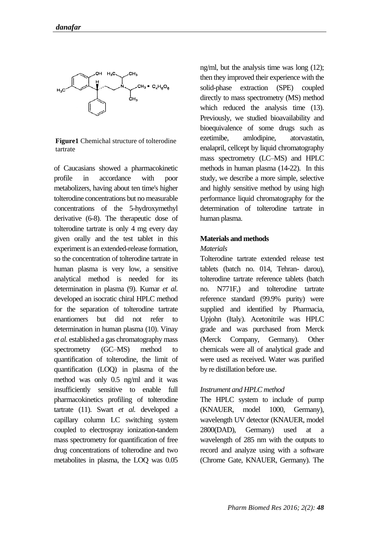

**Figure1** Chemichal structure of tolterodine tartrate

of Caucasians showed a pharmacokinetic profile in accordance with poor metabolizers, having about ten time's higher tolterodine concentrations but no measurable concentrations of the 5-hydroxymethyl derivative (6-8). The therapeutic dose of tolterodine tartrate is only 4 mg every day given orally and the test tablet in this experiment is an extended-release formation, so the concentration of tolterodine tartrate in human plasma is very low, a sensitive analytical method is needed for its determination in plasma (9). Kumar *et al.* developed an isocratic chiral HPLC method for the separation of tolterodine tartrate enantiomers but did not refer to determination in human plasma (10). Vinay *et al.* established a gas chromatography mass spectrometry (GC–MS) method to quantification of tolterodine, the limit of quantification (LOQ) in plasma of the method was only 0.5 ng/ml and it was insufficiently sensitive to enable full pharmacokinetics profiling of tolterodine tartrate (11). Swart *et al.* developed a capillary column LC switching system coupled to electrospray ionization-tandem mass spectrometry for quantification of free drug concentrations of tolterodine and two metabolites in plasma, the LOQ was 0.05

ng/ml, but the analysis time was long (12); then they improved their experience with the solid-phase extraction (SPE) coupled directly to mass spectrometry (MS) method which reduced the analysis time (13). Previously, we studied bioavailability and bioequivalence of some drugs such as ezetimibe, amlodipine, atorvastatin, enalapril, cellcept by liquid chromatography mass spectrometry (LC–MS) and HPLC methods in human plasma (14-22). In this study, we describe a more simple, selective and highly sensitive method by using high performance liquid chromatography for the determination of tolterodine tartrate in human plasma.

### **Materials and methods**

### *Materials*

Tolterodine tartrate extended release test tablets (batch no. 014, Tehran- darou), tolterodine tartrate reference tablets (batch no. N771F,) and tolterodine tartrate reference standard (99.9% purity) were supplied and identified by Pharmacia, Upjohn (Italy). Acetonitrile was HPLC grade and was purchased from Merck (Merck Company, Germany). Other chemicals were all of analytical grade and were used as received. Water was purified by re distillation before use.

## *Instrument and HPLC method*

The HPLC system to include of pump (KNAUER, model 1000, Germany), wavelength UV detector (KNAUER, model 2800(DAD), Germany) used at a wavelength of 285 nm with the outputs to record and analyze using with a software (Chrome Gate, KNAUER, Germany). The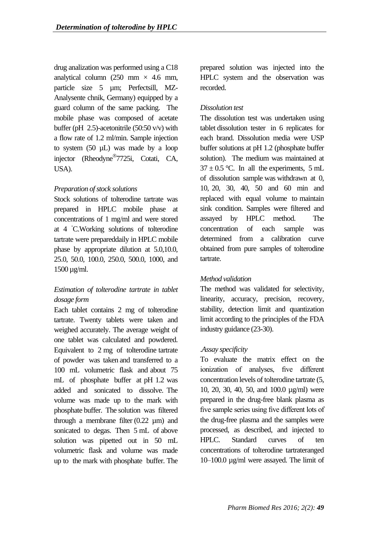drug analization was performed using a C18 analytical column (250 mm  $\times$  4.6 mm, particle size 5 µm; Perfectsill, MZ-Analysente chnik, Germany) equipped by a guard column of the same packing. The mobile phase was composed of acetate buffer (pH 2.5)-acetonitrile (50:50 v/v) with a flow rate of 1.2 ml/min. Sample injection to system  $(50 \mu L)$  was made by a loop injector (Rheodyne 7725i, Cotati, CA, USA).

## *Preparation of stock solutions*

Stock solutions of tolterodine tartrate was prepared in HPLC mobile phase at concentrations of 1 mg/ml and were stored at 4 ◦C.Working solutions of tolterodine tartrate were prepareddaily in HPLC mobile phase by appropriate dilution at 5.0,10.0, 25.0, 50.0, 100.0, 250.0, 500.0, 1000, and 1500 µg/ml.

# *Estimation of tolterodine tartrate in tablet dosage form*

Each tablet contains 2 mg of tolterodine tartrate. Twenty tablets were taken and weighed accurately. The average weight of one tablet was calculated and powdered. Equivalent to 2 mg of tolterodine tartrate of powder was taken and transferred to a 100 mL volumetric flask and about 75 mL of phosphate buffer at pH 1.2 was added and sonicated to dissolve. The volume was made up to the mark with phosphate buffer. The solution was filtered through a membrane filter  $(0.22 \text{ nm})$  and sonicated to degas. Then 5 mL of above solution was pipetted out in 50 mL volumetric flask and volume was made up to the mark with phosphate buffer. The

prepared solution was injected into the HPLC system and the observation was recorded.

## *Dissolution test*

The dissolution test was undertaken using tablet dissolution tester in 6 replicates for each brand. Dissolution media were USP buffer solutions at pH 1.2 (phosphate buffer solution). The medium was maintained at  $37 \pm 0.5$  °C. In all the experiments, 5 mL of dissolution sample was withdrawn at 0, 10, 20, 30, 40, 50 and 60 min and replaced with equal volume to maintain sink condition. Samples were filtered and assayed by HPLC method. The concentration of each sample was determined from a calibration curve obtained from pure samples of tolterodine tartrate.

## *Method validation*

The method was validated for selectivity, linearity, accuracy, precision, recovery, stability, detection limit and quantization limit according to the principles of the FDA industry guidance (23-30).

# .*Assay specificity*

To evaluate the matrix effect on the ionization of analyses, five different concentration levels of tolterodine tartrate (5, 10, 20, 30, 40, 50, and 100.0 µg/ml) were prepared in the drug-free blank plasma as five sample series using five different lots of the drug-free plasma and the samples were processed, as described, and injected to HPLC. Standard curves of ten concentrations of tolterodine tartrateranged 10–100.0 µg/ml were assayed. The limit of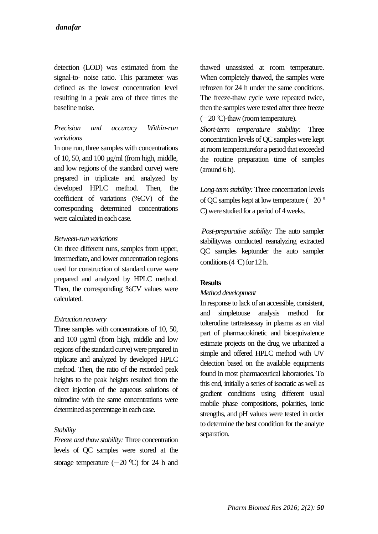detection (LOD) was estimated from the signal-to- noise ratio. This parameter was defined as the lowest concentration level resulting in a peak area of three times the baseline noise.

# *Precision and accuracy Within-run variations*

In one run, three samples with concentrations of 10, 50, and 100 µg/ml (from high, middle, and low regions of the standard curve) were prepared in triplicate and analyzed by developed HPLC method. Then, the coefficient of variations (%CV) of the corresponding determined concentrations were calculated in each case.

## *Between-run variations*

On three different runs, samples from upper, intermediate, and lower concentration regions used for construction of standard curve were prepared and analyzed by HPLC method. Then, the corresponding %CV values were calculated.

## *Extraction recovery*

Three samples with concentrations of 10, 50, and 100 µg/ml (from high, middle and low regions of the standard curve) were prepared in triplicate and analyzed by developed HPLC method. Then, the ratio of the recorded peak heights to the peak heights resulted from the direct injection of the aqueous solutions of toltrodine with the same concentrations were determined as percentage in each case.

## *Stability*

*Freeze and thaw stability:* Three concentration levels of QC samples were stored at the storage temperature  $(-20 \degree C)$  for 24 h and

thawed unassisted at room temperature. When completely thawed, the samples were refrozen for 24 h under the same conditions. The freeze-thaw cycle were repeated twice, then the samples were tested after three freeze (−20 ⁰C)-thaw (roomtemperature).

*Short-term temperature stability:* Three concentration levels of QC samples were kept at room temperaturefor a period that exceeded the routine preparation time of samples (around 6 h).

*Long-term stability:* Three concentration levels of QC samples kept at low temperature ( $-20$ <sup>o</sup> C) were studied for a period of 4 weeks.

*Post-preparative stability:* The auto sampler stabilitywas conducted reanalyzing extracted QC samples keptunder the auto sampler conditions  $(4 \text{ C})$  for  $12 \text{ h}$ .

## **Results**

#### *Method development*

In response to lack of an accessible, consistent, and simpletouse analysis method for tolterodine tartrateassay in plasma as an vital part of pharmacokinetic and bioequivalence estimate projects on the drug we urbanized a simple and offered HPLC method with UV detection based on the available equipments found in most pharmaceutical laboratories. To this end, initially a series of isocratic as well as gradient conditions using different usual mobile phase compositions, polarities, ionic strengths, and pH values were tested in order to determine the best condition for the analyte separation.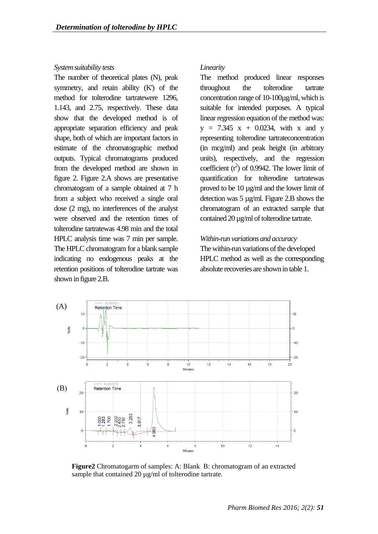#### *System suitability tests*

The number of theoretical plates (N), peak symmetry, and retain ability (K') of the method for tolterodine tartratewere 1296, 1.143, and 2.75, respectively. These data show that the developed method is of appropriate separation efficiency and peak shape, both of which are important factors in estimate of the chromatographic method outputs. Typical chromatograms produced from the developed method are shown in figure 2. Figure 2.A shows are presentative chromatogram of a sample obtained at 7 h from a subject who received a single oral dose (2 mg), no interferences of the analyst were observed and the retention times of tolterodine tartratewas 4.98 min and the total HPLC analysis time was 7 min per sample. The HPLC chromatogram for a blank sample indicating no endogenous peaks at the retention positions of tolterodine tartrate was shown in figure 2.B.

## *Linearity*

The method produced linear responses throughout the tolterodine tartrate concentration range of 10-100µg/ml, which is suitable for intended purposes. A typical linear regression equation of the method was:  $y = 7.345$  x + 0.0234, with x and y representing tolterodine tartrateconcentration (in mcg/ml) and peak height (in arbitrary units), respectively, and the regression coefficient  $(r^2)$  of 0.9942. The lower limit of quantification for tolterodine tartratewas proved to be 10 µg/ml and the lower limit of detection was 5 µg/ml. Figure 2.B shows the chromatogram of an extracted sample that contained 20 µg/ml of tolterodine tartrate.

## *Within-run variations and accuracy*

The within-run variations of the developed HPLC method as well as the corresponding absolute recoveries are shown in table 1.



**Figure2** Chromatogarm of samples: A: Blank B: chromatogram of an extracted sample that contained 20  $\mu$ g/ml of tolterodine tartrate.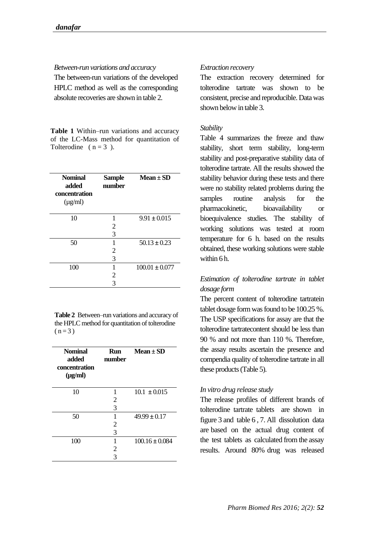*Between-run variations and accuracy*

The between-run variations of the developed HPLC method as well as the corresponding absolute recoveries are shown in table 2.

**Table 1** Within–run variations and accuracy of the LC-Mass method for quantitation of Tolterodine ( $n = 3$ ).

| <b>Nominal</b><br>added<br>concentration<br>$(\mu g/ml)$ | <b>Sample</b><br>number | $Mean \pm SD$      |
|----------------------------------------------------------|-------------------------|--------------------|
| 10                                                       | 1                       | $9.91 \pm 0.015$   |
|                                                          | 2                       |                    |
|                                                          | 3                       |                    |
| 50                                                       | 1                       | $50.13 \pm 0.23$   |
|                                                          | 2                       |                    |
|                                                          | 3                       |                    |
| 100                                                      | 1                       | $100.01 \pm 0.077$ |
|                                                          | 2                       |                    |
|                                                          | 3                       |                    |

**Table 2** Between–run variations and accuracy of the HPLC method for quantitation of tolterodine  $(n=3)$ 

| <b>Nominal</b><br>added<br>concentration<br>$(\mu g/ml)$ | <b>Run</b><br>number | Mean $\pm$ SD      |
|----------------------------------------------------------|----------------------|--------------------|
| 10                                                       | 1                    | $10.1 + 0.015$     |
|                                                          | 2                    |                    |
|                                                          | 3                    |                    |
| 50                                                       | 1                    | $49.99 \pm 0.17$   |
|                                                          | 2                    |                    |
|                                                          | 3                    |                    |
| 100                                                      | 1                    | $100.16 \pm 0.084$ |
|                                                          | 2                    |                    |
|                                                          | 3                    |                    |

## *Extraction recovery*

The extraction recovery determined for tolterodine tartrate was shown to be consistent, precise and reproducible. Data was shown below in table 3.

## *Stability*

Table 4 summarizes the freeze and thaw stability, short term stability, long-term stability and post-preparative stability data of tolterodine tartrate. All the results showed the stability behavior during these tests and there were no stability related problems during the samples routine analysis for the pharmacokinetic, bioavailability or bioequivalence studies. The stability of working solutions was tested at room temperature for 6 h. based on the results obtained, these working solutions were stable within 6 h.

# *Estimation of tolterodine tartrate in tablet dosage form*

The percent content of tolterodine tartratein tablet dosage form was found to be 100.25 %. The USP specifications for assay are that the tolterodine tartratecontent should be less than 90 % and not more than 110 %. Therefore, the assay results ascertain the presence and compendia quality of tolterodine tartrate in all these products (Table 5).

## *In vitro drug release study*

The release profiles of different brands of tolterodine tartrate tablets are shown in figure 3 and table 6 , 7. All dissolution data are based on the actual drug content of the test tablets as calculated from the assay results. Around 80% drug was released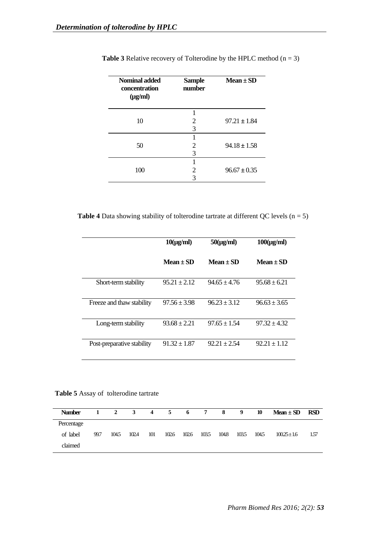| <b>Nominal added</b><br>concentration<br>$(\mu g/ml)$ | <b>Sample</b><br>number | $Mean \pm SD$    |
|-------------------------------------------------------|-------------------------|------------------|
| 10                                                    | 2                       | $97.21 + 1.84$   |
|                                                       | 3                       |                  |
|                                                       |                         |                  |
| 50                                                    | 2<br>3                  | $94.18 \pm 1.58$ |
|                                                       |                         |                  |
| 100                                                   | 2                       | $96.67 \pm 0.35$ |
|                                                       | 3                       |                  |

**Table 3** Relative recovery of Tolterodine by the HPLC method  $(n = 3)$ 

**Table 4** Data showing stability of tolterodine tartrate at different QC levels  $(n = 5)$ 

|                            | $10(\mu\text{g/ml})$ | $50(\mu g/ml)$ | $100(\mu g/ml)$  |
|----------------------------|----------------------|----------------|------------------|
|                            | Mean + SD            | $Mean + SD$    | $Mean \pm SD$    |
| Short-term stability       | $95.21 \pm 2.12$     | $94.65 + 4.76$ | $95.68 + 6.21$   |
| Freeze and thaw stability  | $97.56 \pm 3.98$     | $96.23 + 3.12$ | $96.63 + 3.65$   |
| Long-term stability        | $93.68 \pm 2.21$     | $97.65 + 1.54$ | $97.32 + 4.32$   |
| Post-preparative stability | $91.32 \pm 1.87$     | $92.21 + 2.54$ | $92.21 \pm 1.12$ |

#### **Table 5** Assay of tolterodine tartrate

| <b>Number</b> | 1    | 2     | 3     |     | 4 5 6 7 |       |       | 8     | 9    | 10    | $Mean \pm SD$ | <b>RSD</b> |
|---------------|------|-------|-------|-----|---------|-------|-------|-------|------|-------|---------------|------------|
| Percentage    |      |       |       |     |         |       |       |       |      |       |               |            |
| of label      | 99.7 | 104.5 | 102.4 | 101 | 102.6   | 102.6 | 103.5 | 104.8 | 1035 | 104.5 | $10025 + 1.6$ | 157        |
| claimed       |      |       |       |     |         |       |       |       |      |       |               |            |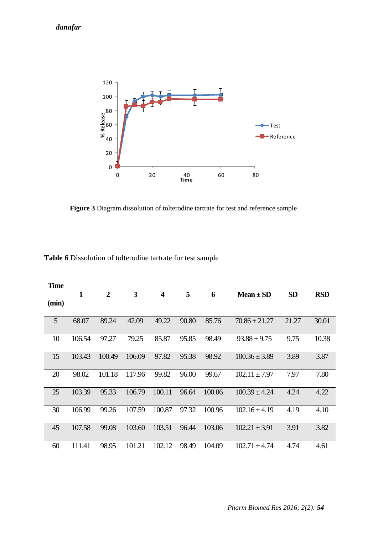

**Figure 3** Diagram dissolution of tolterodine tartrate for test and reference sample

| <b>Time</b> | $\mathbf{1}$ | $\overline{2}$ | 3      | $\overline{\mathbf{4}}$ | 5     | 6      | $Mean \pm SD$     | SD    | <b>RSD</b> |
|-------------|--------------|----------------|--------|-------------------------|-------|--------|-------------------|-------|------------|
| (min)       |              |                |        |                         |       |        |                   |       |            |
| 5           | 68.07        | 89.24          | 42.09  | 49.22                   | 90.80 | 85.76  | $70.86 \pm 21.27$ | 21.27 | 30.01      |
| 10          | 106.54       | 97.27          | 79.25  | 85.87                   | 95.85 | 98.49  | $93.88 \pm 9.75$  | 9.75  | 10.38      |
| 15          | 103.43       | 100.49         | 106.09 | 97.82                   | 95.38 | 98.92  | $100.36 \pm 3.89$ | 3.89  | 3.87       |
| 20          | 98.02        | 101.18         | 117.96 | 99.82                   | 96.00 | 99.67  | $102.11 \pm 7.97$ | 7.97  | 7.80       |
| 25          | 103.39       | 95.33          | 106.79 | 100.11                  | 96.64 | 100.06 | $100.39 \pm 4.24$ | 4.24  | 4.22       |
| 30          | 106.99       | 99.26          | 107.59 | 100.87                  | 97.32 | 100.96 | $102.16 \pm 4.19$ | 4.19  | 4.10       |
| 45          | 107.58       | 99.08          | 103.60 | 103.51                  | 96.44 | 103.06 | $102.21 \pm 3.91$ | 3.91  | 3.82       |
| 60          | 111.41       | 98.95          | 101.21 | 102.12                  | 98.49 | 104.09 | $102.71 \pm 4.74$ | 4.74  | 4.61       |
|             |              |                |        |                         |       |        |                   |       |            |

**Table 6** Dissolution of tolterodine tartrate for test sample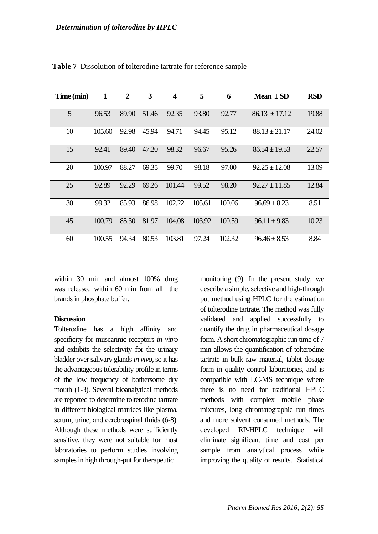| Time (min) | $\mathbf{1}$ | $\overline{2}$ | $\overline{\mathbf{3}}$ | $\overline{\mathbf{4}}$ | 5      | 6      | Mean $\pm$ SD     | <b>RSD</b> |
|------------|--------------|----------------|-------------------------|-------------------------|--------|--------|-------------------|------------|
| 5          | 96.53        | 89.90          | 51.46                   | 92.35                   | 93.80  | 92.77  | $86.13 \pm 17.12$ | 19.88      |
| 10         | 105.60       | 92.98          | 45.94                   | 94.71                   | 94.45  | 95.12  | $88.13 \pm 21.17$ | 24.02      |
| 15         | 92.41        | 89.40          | 47.20                   | 98.32                   | 96.67  | 95.26  | $86.54 \pm 19.53$ | 22.57      |
| 20         | 100.97       | 88.27          | 69.35                   | 99.70                   | 98.18  | 97.00  | $92.25 \pm 12.08$ | 13.09      |
| 25         | 92.89        | 92.29          | 69.26                   | 101.44                  | 99.52  | 98.20  | $92.27 \pm 11.85$ | 12.84      |
| 30         | 99.32        | 85.93          | 86.98                   | 102.22                  | 105.61 | 100.06 | $96.69 \pm 8.23$  | 8.51       |
| 45         | 100.79       | 85.30          | 81.97                   | 104.08                  | 103.92 | 100.59 | $96.11 \pm 9.83$  | 10.23      |
| 60         | 100.55       | 94.34          | 80.53                   | 103.81                  | 97.24  | 102.32 | $96.46 \pm 8.53$  | 8.84       |

**Table 7** Dissolution of tolterodine tartrate for reference sample

within 30 min and almost 100% drug was released within 60 min from all the brands in phosphate buffer.

#### **Discussion**

Tolterodine has a high affinity and specificity for muscarinic receptors *in vitro* and exhibits the selectivity for the urinary bladder over salivary glands *in vivo*, so it has the advantageous tolerability profile in terms of the low frequency of bothersome dry mouth (1-3). Several bioanalytical methods are reported to determine tolterodine tartrate in different biological matrices like plasma, serum, urine, and cerebrospinal fluids (6-8). Although these methods were sufficiently sensitive, they were not suitable for most laboratories to perform studies involving samples in high through-put for therapeutic

monitoring (9). In the present study, we describe a simple, selective and high-through put method using HPLC for the estimation of tolterodine tartrate. The method was fully validated and applied successfully to quantify the drug in pharmaceutical dosage form. A short chromatographic run time of 7 min allows the quantification of tolterodine tartrate in bulk raw material, tablet dosage form in quality control laboratories, and is compatible with LC-MS technique where there is no need for traditional HPLC methods with complex mobile phase mixtures, long chromatographic run times and more solvent consumed methods. The developed RP-HPLC technique will eliminate significant time and cost per sample from analytical process while improving the quality of results. Statistical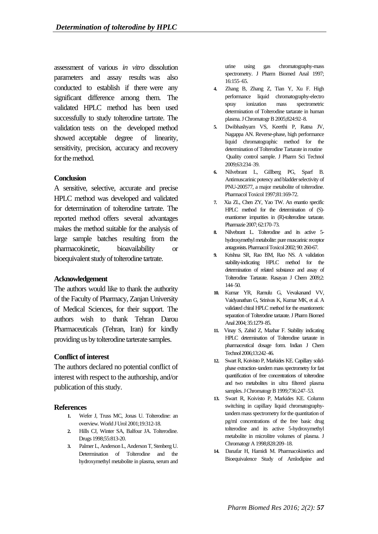assessment of various *in vitro* dissolution parameters and assay results was also conducted to establish if there were any significant difference among them. The validated HPLC method has been used successfully to study tolterodine tartrate. The validation tests on the developed method showed acceptable degree of linearity, sensitivity, precision, accuracy and recovery for the method.

## **Conclusion**

A sensitive, selective, accurate and precise HPLC method was developed and validated for determination of tolterodine tartrate. The reported method offers several advantages makes the method suitable for the analysis of large sample batches resulting from the pharmacokinetic, bioavailability or bioequivalent study of tolterodine tartrate.

## **Acknowledgement**

The authors would like to thank the authority of the Faculty of Pharmacy, Zanjan University of Medical Sciences, for their support. The authors wish to thank Tehran Darou Pharmaceuticals (Tehran, Iran) for kindly providing us by tolterodine tarterate samples.

#### **Conflict of interest**

The authors declared no potential conflict of interest with respect to the authorship, and/or publication of this study.

#### **References**

- **1.** [Wefer J,](http://www.ncbi.nlm.nih.gov/pubmed/?term=Wefer%20J%5BAuthor%5D&cauthor=true&cauthor_uid=11760779) [Truss MC,](http://www.ncbi.nlm.nih.gov/pubmed/?term=Truss%20MC%5BAuthor%5D&cauthor=true&cauthor_uid=11760779) [Jonas U.](http://www.ncbi.nlm.nih.gov/pubmed/?term=Jonas%20U%5BAuthor%5D&cauthor=true&cauthor_uid=11760779) Tolterodine: an overview. World J Urol 2001;19:312-18.
- **2.** Hills CJ, Winter SA, Balfour JA. Tolterodine. Drugs 1998;55:813-20.
- **3.** Palmer L, Anderson L, Anderson T, Stenberg U. Determination of Tolterodine and the hydroxymethyl metabolite in plasma, serum and

urine using gas chromatography-mass spectrometry. J Pharm Biomed Anal 1997; 16:155–65.

- **4.** Zhang B, Zhang Z, Tian Y, Xu F. High performance liquid chromatography-electro spray ionization mass spectrometric determination of Tolterodine tartarate in human plasma. J Chromatogr B 2005;824:92–8.
- **5.** Dwibhashyam VS, Keerthi P, Ratna JV, Nagappa AN. Reverse-phase, high performance liquid chromatographic method for the determination of Tolterodine Tartarate in routine Quality control sample. J Pharm Sci Technol 2009;63:234–39.
- **6.** Nilvebrant L, Gillberg PG, Sparf B. [Antimuscarinic potency and bladder selectivity of](http://www.ncbi.nlm.nih.gov/pubmed/9353847)  [PNU-200577, a major metabolite of tolterodine.](http://www.ncbi.nlm.nih.gov/pubmed/9353847) Pharmacol Toxicol 1997;81:169-72.
- **7.** Xia ZL, Chen ZY, Yao TW. An enantio specific HPLC method for the determination of (S) enantiomer impurities in (R)-tolterodine tartarate. Pharmazie 2007; 62:170–73.
- **8.** Nilvebrant L. Tolterodine and its active 5 hydroxymethyl metabolite: pure muscarinic receptor antagonists.Pharmacol Toxicol 2002;90: 260-67.
- **9.** Krishna SR, Rao BM, Rao NS. A validation stability-indicating HPLC method for the determination of related substance and assay of Tolterodine Tartarate. Rasayan J Chem 2009;2: 144–50.
- **10.** Kumar YR, Ramulu G, Vevakanand VV, Vaidyanathan G, Srinivas K, Kumar MK, et al. A validated chiral HPLC method for the enantiomeric separation of Tolterodine tartarate. J Pharm Biomed Anal 2004; 35:1279–85.
- **11.** Vinay S, Zahid Z, Mazhar F. Stability indicating HPLC determination of Tolterodine tartarate in pharmaceutical dosage form. Indian J Chem Technol 2006;13:242–46.
- **12.** Swart R, Koivisto P, Markides KE. Capillary solidphase extraction–tandem mass spectrometry for fast quantification of free concentrations of tolterodine and two metabolites in ultra filtered plasma samples. J Chromatogr B 1999;736:247–53.
- **13.** Swart R, Koivisto P, Markides KE. Column switching in capillary liquid chromatographytandem mass spectrometry for the quantitation of pg/ml concentrations of the free basic drug tolterodine and its active 5-hydroxymethyl metabolite in microlitre volumes of plasma. J Chromatogr A1998;828:209–18.
- **14.** Danafar H, Hamidi M. Pharmacokinetics and Bioequivalence Study of Amlodipine and